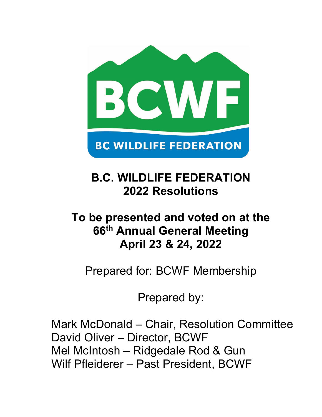

# **B.C. WILDLIFE FEDERATION 2022 Resolutions**

# **To be presented and voted on at the 66th Annual General Meeting April 23 & 24, 2022**

Prepared for: BCWF Membership

Prepared by:

Mark McDonald – Chair, Resolution Committee David Oliver – Director, BCWF Mel McIntosh – Ridgedale Rod & Gun Wilf Pfleiderer – Past President, BCWF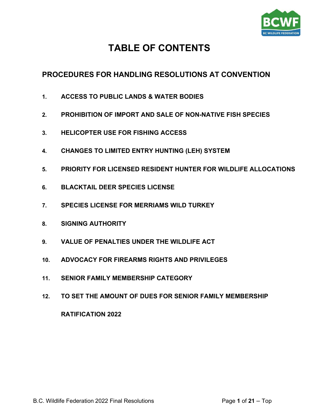

# **TABLE OF CONTENTS**

# <span id="page-1-0"></span>**PROCEDURES FOR HANDLING [RESOLUTIONS](#page-2-0) AT CONVENTION**

- **1. [ACCESS TO PUBLIC LANDS & WATER BODIES](#page-3-0)**
- **2. [PROHIBITION OF IMPORT AND SALE OF NON-NATIVE FISH SPECIES](#page-4-0)**
- **3. [HELICOPTER USE FOR FISHING ACCESS](#page-5-0)**
- **4. [CHANGES TO LIMITED ENTRY HUNTING \(LEH\) SYSTEM](#page-6-0)**
- **5. [PRIORITY FOR LICENSED RESIDENT HUNTER FOR WILDLIFE ALLOCATIONS](#page-10-0)**
- **6. [BLACKTAIL DEER SPECIES LICENSE](#page-13-0)**
- **7. [SPECIES LICENSE FOR MERRIAMS WILD TURKEY](#page-14-0)**
- **8. [SIGNING AUTHORITY](#page-15-0)**
- **9. [VALUE OF PENALTIES UNDER THE WILDLIFE ACT](#page-16-0)**
- **10. [ADVOCACY FOR FIREARMS RIGHTS AND PRIVILEGES](#page-17-0)**
- **11. [SENIOR FAMILY MEMBERSHIP CATEGORY](#page-19-0)**
- **12. [TO SET THE AMOUNT OF DUES FOR SENIOR FAMILY MEMBERSHIP](#page-20-0)**

# **[RATIFICATION 2022](#page-21-0)**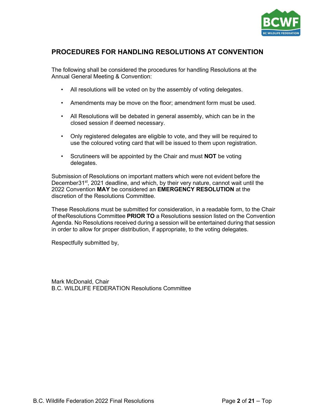

# <span id="page-2-0"></span>**PROCEDURES FOR HANDLING RESOLUTIONS AT CONVENTION**

The following shall be considered the procedures for handling Resolutions at the Annual General Meeting & Convention:

- All resolutions will be voted on by the assembly of voting delegates.
- Amendments may be move on the floor; amendment form must be used.
- All Resolutions will be debated in general assembly, which can be in the closed session if deemed necessary.
- Only registered delegates are eligible to vote, and they will be required to use the coloured voting card that will be issued to them upon registration.
- Scrutineers will be appointed by the Chair and must **NOT** be voting delegates.

Submission of Resolutions on important matters which were not evident before the December31<sup>st</sup>, 2021 deadline, and which, by their very nature, cannot wait until the 2022 Convention **MAY** be considered an **EMERGENCY RESOLUTION** at the discretion of the Resolutions Committee.

These Resolutions must be submitted for consideration, in a readable form, to the Chair of theResolutions Committee **PRIOR TO** a Resolutions session listed on the Convention Agenda. No Resolutions received during a session will be entertained during that session in order to allow for proper distribution, if appropriate, to the voting delegates.

Respectfully submitted by,

Mark McDonald, Chair B.C. WILDLIFE FEDERATION Resolutions Committee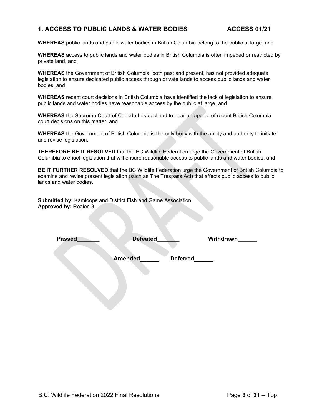# <span id="page-3-0"></span>**1. ACCESS TO PUBLIC LANDS & WATER BODIES ACCESS 01/21**

**WHEREAS** public lands and public water bodies in British Columbia belong to the public at large, and

**WHEREAS** access to public lands and water bodies in British Columbia is often impeded or restricted by private land, and

**WHEREAS** the Government of British Columbia, both past and present, has not provided adequate legislation to ensure dedicated public access through private lands to access public lands and water bodies, and

**WHEREAS** recent court decisions in British Columbia have identified the lack of legislation to ensure public lands and water bodies have reasonable access by the public at large, and

**WHEREAS** the Supreme Court of Canada has declined to hear an appeal of recent British Columbia court decisions on this matter, and

**WHEREAS** the Government of British Columbia is the only body with the ability and authority to initiate and revise legislation,

**THEREFORE BE IT RESOLVED** that the BC Wildlife Federation urge the Government of British Columbia to enact legislation that will ensure reasonable access to public lands and water bodies, and

**BE IT FURTHER RESOLVED** that the BC Wildlife Federation urge the Government of British Columbia to examine and revise present legislation (such as The Trespass Act) that affects public access to public lands and water bodies.

**Submitted by:** Kamloops and District Fish and Game Association **Approved by:** Region 3

| <b>Passed</b> | <b>Defeated</b> |                 | Withdrawn |
|---------------|-----------------|-----------------|-----------|
|               | <b>Amended</b>  | <b>Deferred</b> |           |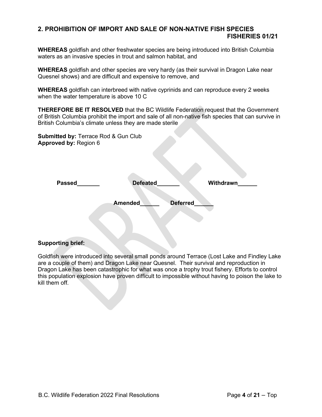# <span id="page-4-0"></span>**2. PROHIBITION OF IMPORT AND SALE OF NON-NATIVE FISH SPECIES FISHERIES 01/21**

**WHEREAS** goldfish and other freshwater species are being introduced into British Columbia waters as an invasive species in trout and salmon habitat, and

**WHEREAS** goldfish and other species are very hardy (as their survival in Dragon Lake near Quesnel shows) and are difficult and expensive to remove, and

**WHEREAS** goldfish can interbreed with native cyprinids and can reproduce every 2 weeks when the water temperature is above 10 C

**THEREFORE BE IT RESOLVED** that the BC Wildlife Federation request that the Government of British Columbia prohibit the import and sale of all non-native fish species that can survive in British Columbia's climate unless they are made sterile

**Submitted by:** Terrace Rod & Gun Club **Approved by:** Region 6

| <b>Passed</b> | <b>Defeated</b> |          | <b>Withdrawn</b> |
|---------------|-----------------|----------|------------------|
|               | <b>Amended</b>  | Deferred |                  |
|               |                 |          |                  |

#### **Supporting brief:**

Goldfish were introduced into several small ponds around Terrace (Lost Lake and Findley Lake are a couple of them) and Dragon Lake near Quesnel. Their survival and reproduction in Dragon Lake has been catastrophic for what was once a trophy trout fishery. Efforts to control this population explosion have proven difficult to impossible without having to poison the lake to kill them off.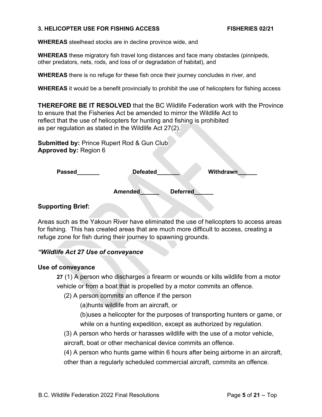#### <span id="page-5-0"></span>**3. HELICOPTER USE FOR FISHING ACCESS FISHERIES 02/21**

**WHEREAS** steelhead stocks are in decline province wide, and

**WHEREAS** these migratory fish travel long distances and face many obstacles (pinnipeds, other predators, nets, rods, and loss of or degradation of habitat), and

**WHEREAS** there is no refuge for these fish once their journey concludes in river, and

**WHEREAS** it would be a benefit provincially to prohibit the use of helicopters for fishing access

**THEREFORE BE IT RESOLVED** that the BC Wildlife Federation work with the Province to ensure that the Fisheries Act be amended to mirror the Wildlife Act to reflect that the use of helicopters for hunting and fishing is prohibited as per regulation as stated in the Wildlife Act 27(2).

**Submitted by:** Prince Rupert Rod & Gun Club **Approved by:** Region 6

| <b>Passed</b> | <b>Defeated</b>                   | Withdrawn |
|---------------|-----------------------------------|-----------|
|               | <b>Deferred</b><br><b>Amended</b> |           |

### **Supporting Brief:**

Areas such as the Yakoun River have eliminated the use of helicopters to access areas for fishing. This has created areas that are much more difficult to access, creating a refuge zone for fish during their journey to spawning grounds.

# *"Wildlife Act 27 Use of conveyance*

#### **Use of conveyance**

**27** (1) A person who discharges a firearm or wounds or kills wildlife from a motor vehicle or from a boat that is propelled by a motor commits an offence.

(2) A person commits an offence if the person

(a)hunts wildlife from an aircraft, or

(b)uses a helicopter for the purposes of transporting hunters or game, or while on a hunting expedition, except as authorized by regulation.

(3) A person who herds or harasses wildlife with the use of a motor vehicle, aircraft, boat or other mechanical device commits an offence.

(4) A person who hunts game within 6 hours after being airborne in an aircraft, other than a regularly scheduled commercial aircraft, commits an offence.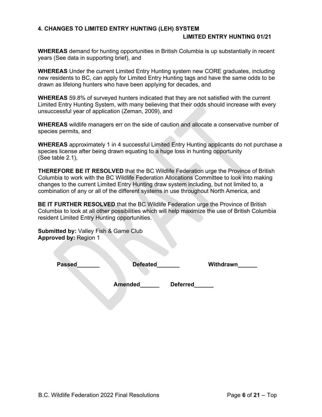#### <span id="page-6-0"></span>**4. CHANGES TO LIMITED ENTRY HUNTING (LEH) SYSTEM LIMITED ENTRY HUNTING 01/21**

**WHEREAS** demand for hunting opportunities in British Columbia is up substantially in recent years (See data in supporting brief), and

**WHEREAS** Under the current Limited Entry Hunting system new CORE graduates, including new residents to BC, can apply for Limited Entry Hunting tags and have the same odds to be drawn as lifelong hunters who have been applying for decades, and

**WHEREAS** 59.8% of surveyed hunters indicated that they are not satisfied with the current Limited Entry Hunting System, with many believing that their odds should increase with every unsuccessful year of application (Zeman, 2009), and

**WHEREAS** wildlife managers err on the side of caution and allocate a conservative number of species permits, and

**WHEREAS** approximately 1 in 4 successful Limited Entry Hunting applicants do not purchase a species license after being drawn equating to a huge loss in hunting opportunity (See table 2.1),

**THEREFORE BE IT RESOLVED** that the BC Wildlife Federation urge the Province of British Columbia to work with the BC Wildlife Federation Allocations Committee to look into making changes to the current Limited Entry Hunting draw system including, but not limited to, a combination of any or all of the different systems in use throughout North America, and

**BE IT FURTHER RESOLVED** that the BC Wildlife Federation urge the Province of British Columbia to look at all other possibilities which will help maximize the use of British Columbia resident Limited Entry Hunting opportunities.

**Submitted by:** Valley Fish & Game Club **Approved by:** Region 1

**Passed Defeated Withdrawn** 

**Amended\_\_\_\_\_\_ Deferred\_\_\_\_\_\_**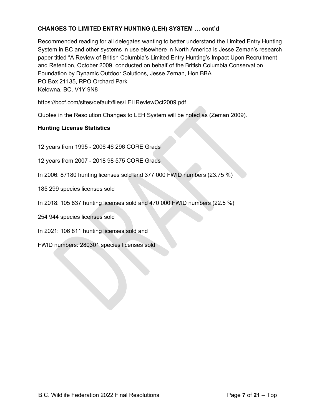# **CHANGES TO LIMITED ENTRY HUNTING (LEH) SYSTEM … cont'd**

Recommended reading for all delegates wanting to better understand the Limited Entry Hunting System in BC and other systems in use elsewhere in North America is Jesse Zeman's research paper titled "A Review of British Columbia's Limited Entry Hunting's Impact Upon Recruitment and Retention, October 2009, conducted on behalf of the British Columbia Conservation Foundation by Dynamic Outdoor Solutions, Jesse Zeman, Hon BBA PO Box 21135, RPO Orchard Park Kelowna, BC, V1Y 9N8

<https://bccf.com/sites/default/files/LEHReviewOct2009.pdf>

Quotes in the Resolution Changes to LEH System will be noted as (Zeman 2009).

# **Hunting License Statistics**

12 years from 1995 - 2006 46 296 CORE Grads

12 years from 2007 - 2018 98 575 CORE Grads

In 2006: 87180 hunting licenses sold and 377 000 FWID numbers (23.75 %)

185 299 species licenses sold

In 2018: 105 837 hunting licenses sold and 470 000 FWID numbers (22.5 %)

254 944 species licenses sold

In 2021: 106 811 hunting licenses sold and

FWID numbers: 280301 species licenses sold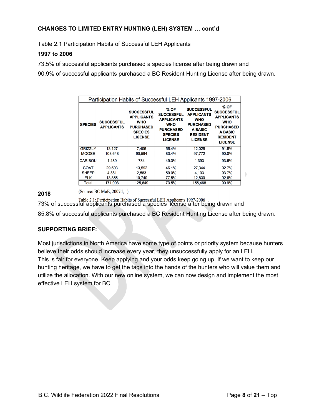# **CHANGES TO LIMITED ENTRY HUNTING (LEH) SYSTEM … cont'd**

Table 2.1 Participation Habits of Successful LEH Applicants

#### **1997 to 2006**

73.5% of successful applicants purchased a species license after being drawn and

90.9% of successful applicants purchased a BC Resident Hunting License after being drawn.

|                | Participation Habits of Successful LEH Applicants 1997-2006 |                                                                                                              |                                                                                                                      |                                                                                                                          |                                                                                                                                  |
|----------------|-------------------------------------------------------------|--------------------------------------------------------------------------------------------------------------|----------------------------------------------------------------------------------------------------------------------|--------------------------------------------------------------------------------------------------------------------------|----------------------------------------------------------------------------------------------------------------------------------|
| <b>SPECIES</b> | <b>SUCCESSFUL</b><br><b>APPLICANTS</b>                      | <b>SUCCESSFUL</b><br><b>APPLICANTS</b><br><b>WHO</b><br><b>PURCHASED</b><br><b>SPECIES</b><br><b>LICENSE</b> | % OF<br><b>SUCCESSFUL</b><br><b>APPLICANTS</b><br><b>WHO</b><br><b>PURCHASED</b><br><b>SPECIES</b><br><b>LICENSE</b> | <b>SUCCESSFUL</b><br><b>APPLICANTS</b><br><b>WHO</b><br><b>PURCHASED</b><br>A BASIC<br><b>RESIDENT</b><br><b>LICENSE</b> | % OF<br><b>SUCCESSFUL</b><br><b>APPLICANTS</b><br><b>WHO</b><br><b>PURCHASED</b><br>A BASIC<br><b>RESIDENT</b><br><b>LICENSE</b> |
| <b>GRIZZLY</b> | 13,127                                                      | 7.406                                                                                                        | 56.4%                                                                                                                | 12.026                                                                                                                   | 91.6%                                                                                                                            |
| <b>MOOSE</b>   | 108,648                                                     | 90,594                                                                                                       | 83.4%                                                                                                                | 97,772                                                                                                                   | 90.0%                                                                                                                            |
| <b>CARIBOU</b> | 1.489                                                       | 734                                                                                                          | 49.3%                                                                                                                | 1.393                                                                                                                    | 93.6%                                                                                                                            |
| <b>GOAT</b>    | 29.503                                                      | 13.592                                                                                                       | 46.1%                                                                                                                | 27.344                                                                                                                   | 92.7%                                                                                                                            |
| <b>SHEEP</b>   | 4.381                                                       | 2.583                                                                                                        | 59.0%                                                                                                                | 4.103                                                                                                                    | 93.7%                                                                                                                            |
| <b>ELK</b>     | 13,855                                                      | 10,740                                                                                                       | 77.5%                                                                                                                | 12,830                                                                                                                   | 92.6%                                                                                                                            |
| Total          | 171.003                                                     | 125,649                                                                                                      | 73.5%                                                                                                                | 155,468                                                                                                                  | 90.9%                                                                                                                            |

(Source: BC MoE, 2007d, 1) **2018**

Table 2.1: Participation Habits of Successful LEH Applicants 1997-2006<br>73% of successful applicants purchased a species license after being drawn and 85.8% of successful applicants purchased a BC Resident Hunting License after being drawn.

# **SUPPORTING BRIEF:**

Most jurisdictions in North America have some type of points or priority system because hunters believe their odds should increase every year, they unsuccessfully apply for an LEH. This is fair for everyone. Keep applying and your odds keep going up. If we want to keep our hunting heritage, we have to get the tags into the hands of the hunters who will value them and utilize the allocation. With our new online system, we can now design and implement the most effective LEH system for BC.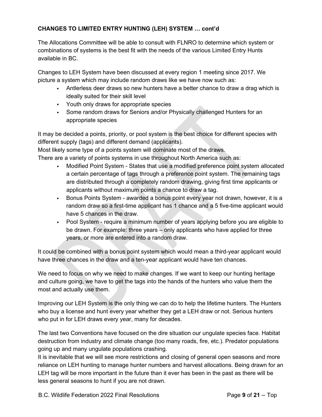# **CHANGES TO LIMITED ENTRY HUNTING (LEH) SYSTEM … cont'd**

The Allocations Committee will be able to consult with FLNRO to determine which system or combinations of systems is the best fit with the needs of the various Limited Entry Hunts available in BC.

Changes to LEH System have been discussed at every region 1 meeting since 2017. We picture a system which may include random draws like we have now such as:

- Antlerless deer draws so new hunters have a better chance to draw a drag which is ideally suited for their skill level
- Youth only draws for appropriate species
- Some random draws for Seniors and/or Physically challenged Hunters for an appropriate species

It may be decided a points, priority, or pool system is the best choice for different species with different supply (tags) and different demand (applicants).

Most likely some type of a points system will dominate most of the draws.

There are a variety of points systems in use throughout North America such as:

- Modified Point System States that use a modified preference point system allocated a certain percentage of tags through a preference point system. The remaining tags are distributed through a completely random drawing, giving first time applicants or applicants without maximum points a chance to draw a tag.
- Bonus Points System awarded a bonus point every year not drawn, however, it is a random draw so a first-time applicant has 1 chance and a 5 five-time applicant would have 5 chances in the draw.
- Pool System require a minimum number of years applying before you are eligible to be drawn. For example: three years – only applicants who have applied for three years, or more are entered into a random draw.

It could be combined with a bonus point system which would mean a third-year applicant would have three chances in the draw and a ten-year applicant would have ten chances.

We need to focus on why we need to make changes. If we want to keep our hunting heritage and culture going, we have to get the tags into the hands of the hunters who value them the most and actually use them.

Improving our LEH System is the only thing we can do to help the lifetime hunters. The Hunters who buy a license and hunt every year whether they get a LEH draw or not. Serious hunters who put in for LEH draws every year, many for decades.

The last two Conventions have focused on the dire situation our ungulate species face. Habitat destruction from industry and climate change (too many roads, fire, etc.). Predator populations going up and many ungulate populations crashing.

It is inevitable that we will see more restrictions and closing of general open seasons and more reliance on LEH hunting to manage hunter numbers and harvest allocations. Being drawn for an LEH tag will be more important in the future than it ever has been in the past as there will be less general seasons to hunt if you are not drawn.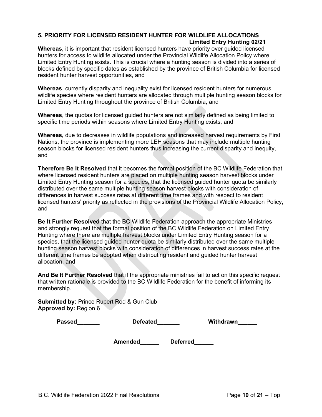#### <span id="page-10-0"></span>**5. PRIORITY FOR LICENSED RESIDENT HUNTER FOR WILDLIFE ALLOCATIONS Limited Entry Hunting 02/21**

**Whereas**, it is important that resident licensed hunters have priority over guided licensed hunters for access to wildlife allocated under the Provincial Wildlife Allocation Policy where Limited Entry Hunting exists. This is crucial where a hunting season is divided into a series of blocks defined by specific dates as established by the province of British Columbia for licensed resident hunter harvest opportunities, and

**Whereas**, currently disparity and inequality exist for licensed resident hunters for numerous wildlife species where resident hunters are allocated through multiple hunting season blocks for Limited Entry Hunting throughout the province of British Columbia, and

**Whereas**, the quotas for licensed guided hunters are not similarly defined as being limited to specific time periods within seasons where Limited Entry Hunting exists, and

**Whereas,** due to decreases in wildlife populations and increased harvest requirements by First Nations, the province is implementing more LEH seasons that may include multiple hunting season blocks for licensed resident hunters thus increasing the current disparity and inequity, and

**Therefore Be It Resolved** that it becomes the formal position of the BC Wildlife Federation that where licensed resident hunters are placed on multiple hunting season harvest blocks under Limited Entry Hunting season for a species, that the licensed guided hunter quota be similarly distributed over the same multiple hunting season harvest blocks with consideration of differences in harvest success rates at different time frames and with respect to resident licensed hunters' priority as reflected in the provisions of the Provincial Wildlife Allocation Policy, and

**Be It Further Resolved** that the BC Wildlife Federation approach the appropriate Ministries and strongly request that the formal position of the BC Wildlife Federation on Limited Entry Hunting where there are multiple harvest blocks under Limited Entry Hunting season for a species, that the licensed guided hunter quota be similarly distributed over the same multiple hunting season harvest blocks with consideration of differences in harvest success rates at the different time frames be adopted when distributing resident and guided hunter harvest allocation, and

**And Be It Further Resolved** that if the appropriate ministries fail to act on this specific request that written rationale is provided to the BC Wildlife Federation for the benefit of informing its membership.

**Submitted by:** Prince Rupert Rod & Gun Club **Approved by:** Region 6

| Passed | <b>Defeated</b> | Withdrawn |
|--------|-----------------|-----------|
|--------|-----------------|-----------|

**Amended\_\_\_\_\_\_ Deferred\_\_\_\_\_\_**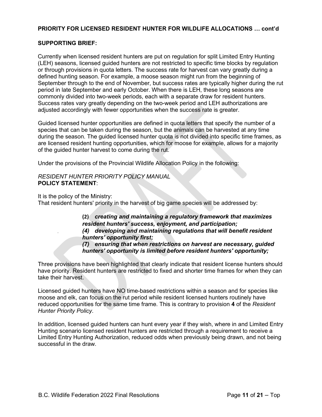#### **PRIORITY FOR LICENSED RESIDENT HUNTER FOR WILDLIFE ALLOCATIONS … cont'd**

#### **SUPPORTING BRIEF:**

Currently when licensed resident hunters are put on regulation for split Limited Entry Hunting (LEH) seasons, licensed guided hunters are not restricted to specific time blocks by regulation or through provisions in quota letters. The success rate for harvest can vary greatly during a defined hunting season. For example, a moose season might run from the beginning of September through to the end of November, but success rates are typically higher during the rut period in late September and early October. When there is LEH, these long seasons are commonly divided into two-week periods, each with a separate draw for resident hunters. Success rates vary greatly depending on the two-week period and LEH authorizations are adjusted accordingly with fewer opportunities when the success rate is greater.

Guided licensed hunter opportunities are defined in quota letters that specify the number of a species that can be taken during the season, but the animals can be harvested at any time during the season. The guided licensed hunter quota is not divided into specific time frames, as are licensed resident hunting opportunities, which for moose for example, allows for a majority of the guided hunter harvest to come during the rut.

Under the provisions of the Provincial Wildlife Allocation Policy in the following:

*RESIDENT HUNTER PRIORITY POLICY MANUAL* **POLICY STATEMENT**:

It is the policy of the Ministry:

That resident hunters' priority in the harvest of big game species will be addressed by:

**(2)** *creating and maintaining a regulatory framework that maximizes resident hunters' success, enjoyment, and participation; (4) developing and maintaining regulations that will benefit resident hunters' opportunity first; (7) ensuring that when restrictions on harvest are necessary, guided hunters' opportunity is limited before resident hunters' opportunity;*

Three provisions have been highlighted that clearly indicate that resident license hunters should have priority. Resident hunters are restricted to fixed and shorter time frames for when they can take their harvest.

Licensed guided hunters have NO time-based restrictions within a season and for species like moose and elk, can focus on the rut period while resident licensed hunters routinely have reduced opportunities for the same time frame. This is contrary to provision **4** of the *Resident Hunter Priority Policy*.

In addition, licensed guided hunters can hunt every year if they wish, where in and Limited Entry Hunting scenario licensed resident hunters are restricted through a requirement to receive a Limited Entry Hunting Authorization, reduced odds when previously being drawn, and not being successful in the draw.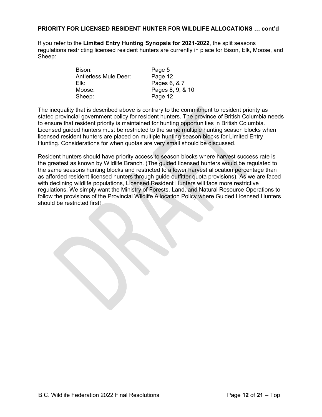#### **PRIORITY FOR LICENSED RESIDENT HUNTER FOR WILDLIFE ALLOCATIONS … cont'd**

If you refer to the **Limited Entry Hunting Synopsis for 2021-2022**, the split seasons regulations restricting licensed resident hunters are currently in place for Bison, Elk, Moose, and Sheep:

| Bison:                       | Page 5           |
|------------------------------|------------------|
| <b>Antlerless Mule Deer:</b> | Page 12          |
| Elk:                         | Pages 6, & 7     |
| Moose:                       | Pages 8, 9, & 10 |
| Sheep:                       | Page 12          |

The inequality that is described above is contrary to the commitment to resident priority as stated provincial government policy for resident hunters. The province of British Columbia needs to ensure that resident priority is maintained for hunting opportunities in British Columbia. Licensed guided hunters must be restricted to the same multiple hunting season blocks when licensed resident hunters are placed on multiple hunting season blocks for Limited Entry Hunting. Considerations for when quotas are very small should be discussed.

Resident hunters should have priority access to season blocks where harvest success rate is the greatest as known by Wildlife Branch. (The guided licensed hunters would be regulated to the same seasons hunting blocks and restricted to a lower harvest allocation percentage than as afforded resident licensed hunters through guide outfitter quota provisions). As we are faced with declining wildlife populations, Licensed Resident Hunters will face more restrictive regulations. We simply want the Ministry of Forests, Land, and Natural Resource Operations to follow the provisions of the Provincial Wildlife Allocation Policy where Guided Licensed Hunters should be restricted first!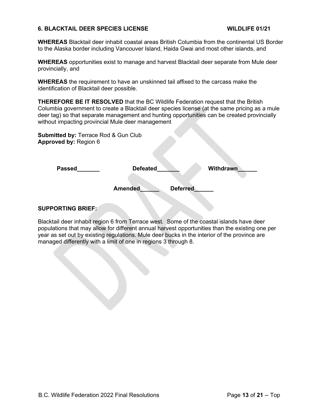#### <span id="page-13-0"></span>**6. BLACKTAIL DEER SPECIES LICENSE WILDLIFE 01/21**

**WHEREAS** Blacktail deer inhabit coastal areas British Columbia from the continental US Border to the Alaska border including Vancouver Island, Haida Gwai and most other islands, and

**WHEREAS** opportunities exist to manage and harvest Blacktail deer separate from Mule deer provincially, and

**WHEREAS** the requirement to have an unskinned tail affixed to the carcass make the identification of Blacktail deer possible.

**THEREFORE BE IT RESOLVED** that the BC Wildlife Federation request that the British Columbia government to create a Blacktail deer species license (at the same pricing as a mule deer tag) so that separate management and hunting opportunities can be created provincially without impacting provincial Mule deer management

**Submitted by:** Terrace Rod & Gun Club **Approved by:** Region 6

| <b>Passed</b> | <b>Defeated</b> |                 | Withdrawn |
|---------------|-----------------|-----------------|-----------|
|               |                 |                 |           |
|               | <b>Amended</b>  | <b>Deferred</b> |           |
|               |                 |                 |           |

#### **SUPPORTING BRIEF:**

Blacktail deer inhabit region 6 from Terrace west. Some of the coastal islands have deer populations that may allow for different annual harvest opportunities than the existing one per year as set out by existing regulations. Mule deer bucks in the interior of the province are managed differently with a limit of one in regions 3 through 8.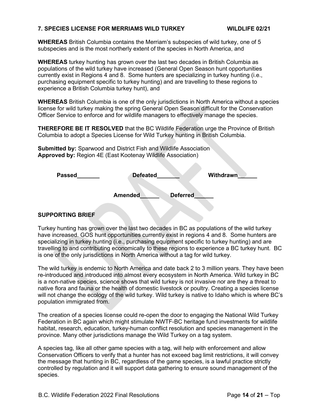#### <span id="page-14-0"></span>**7. SPECIES LICENSE FOR MERRIAMS WILD TURKEY WILDLIFE 02/21**

**WHEREAS** British Columbia contains the Merriam's subspecies of wild turkey, one of 5 subspecies and is the most northerly extent of the species in North America, and

**WHEREAS** turkey hunting has grown over the last two decades in British Columbia as populations of the wild turkey have increased (General Open Season hunt opportunities currently exist in Regions 4 and 8. Some hunters are specializing in turkey hunting (i.e., purchasing equipment specific to turkey hunting) and are travelling to these regions to experience a British Columbia turkey hunt), and

**WHEREAS** British Columbia is one of the only jurisdictions in North America without a species license for wild turkey making the spring General Open Season difficult for the Conservation Officer Service to enforce and for wildlife managers to effectively manage the species.

**THEREFORE BE IT RESOLVED** that the BC Wildlife Federation urge the Province of British Columbia to adopt a Species License for Wild Turkey hunting in British Columbia.

**Submitted by:** Sparwood and District Fish and Wildlife Association **Approved by:** Region 4E (East Kootenay Wildlife Association)

| <b>Passed</b> | <b>Defeated</b> |                 | Withdrawn |
|---------------|-----------------|-----------------|-----------|
|               | <b>Amended</b>  | <b>Deferred</b> |           |
|               |                 |                 |           |

#### **SUPPORTING BRIEF**

Turkey hunting has grown over the last two decades in BC as populations of the wild turkey have increased. GOS hunt opportunities currently exist in regions 4 and 8. Some hunters are specializing in turkey hunting (i.e., purchasing equipment specific to turkey hunting) and are travelling to and contributing economically to these regions to experience a BC turkey hunt. BC is one of the only jurisdictions in North America without a tag for wild turkey.

The wild turkey is endemic to North America and date back 2 to 3 million years. They have been re-introduced and introduced into almost every ecosystem in North America. Wild turkey in BC is a non-native species, science shows that wild turkey is not invasive nor are they a threat to native flora and fauna or the health of domestic livestock or poultry. Creating a species license will not change the ecology of the wild turkey. Wild turkey is native to Idaho which is where BC's population immigrated from.

The creation of a species license could re-open the door to engaging the National Wild Turkey Federation in BC again which might stimulate NWTF-BC heritage fund investments for wildlife habitat, research, education, turkey-human conflict resolution and species management in the province. Many other jurisdictions manage the Wild Turkey on a tag system.

A species tag, like all other game species with a tag, will help with enforcement and allow Conservation Officers to verify that a hunter has not exceed bag limit restrictions, it will convey the message that hunting in BC, regardless of the game species, is a lawful practice strictly controlled by regulation and it will support data gathering to ensure sound management of the species.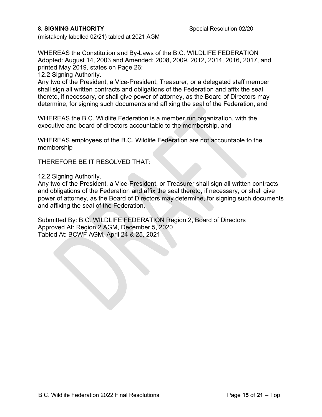### <span id="page-15-0"></span>**8. SIGNING AUTHORITY** Special Resolution 02/20

(mistakenly labelled 02/21) tabled at 2021 AGM

WHEREAS the Constitution and By-Laws of the B.C. WILDLIFE FEDERATION Adopted: August 14, 2003 and Amended: 2008, 2009, 2012, 2014, 2016, 2017, and printed May 2019, states on Page 26:

12.2 Signing Authority.

Any two of the President, a Vice-President, Treasurer, or a delegated staff member shall sign all written contracts and obligations of the Federation and affix the seal thereto, if necessary, or shall give power of attorney, as the Board of Directors may determine, for signing such documents and affixing the seal of the Federation, and

WHEREAS the B.C. Wildlife Federation is a member run organization, with the executive and board of directors accountable to the membership, and

WHEREAS employees of the B.C. Wildlife Federation are not accountable to the membership

THEREFORE BE IT RESOLVED THAT:

12.2 Signing Authority.

Any two of the President, a Vice-President, or Treasurer shall sign all written contracts and obligations of the Federation and affix the seal thereto, if necessary, or shall give power of attorney, as the Board of Directors may determine, for signing such documents and affixing the seal of the Federation,

Submitted By: B.C. WILDLIFE FEDERATION Region 2, Board of Directors Approved At: Region 2 AGM, December 5, 2020 Tabled At: BCWF AGM, April 24 & 25, 2021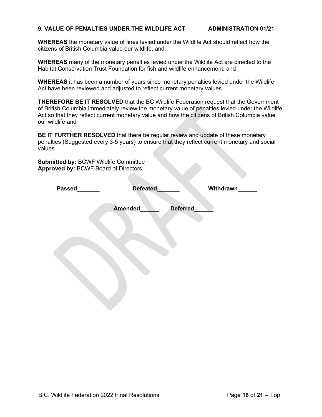#### <span id="page-16-0"></span>**9. VALUE OF PENALTIES UNDER THE WILDLIFE ACT ADMINISTRATION 01/21**

**WHEREAS** the monetary value of fines levied under the Wildlife Act should reflect how the citizens of British Columbia value our wildlife, and

**WHEREAS** many of the monetary penalties levied under the Wildlife Act are directed to the Habitat Conservation Trust Foundation for fish and wildlife enhancement, and

**WHEREAS** it has been a number of years since monetary penalties levied under the Wildlife Act have been reviewed and adjusted to reflect current monetary values

**THEREFORE BE IT RESOLVED** that the BC Wildlife Federation request that the Government of British Columbia immediately review the monetary value of penalties levied under the Wildlife Act so that they reflect current monetary value and how the citizens of British Columbia value our wildlife and

**BE IT FURTHER RESOLVED** that there be regular review and update of these monetary penalties (Suggested every 3-5 years) to ensure that they reflect current monetary and social values

**Submitted by:** BCWF Wildlife Committee **Approved by:** BCWF Board of Directors

| Passed | Defeated |          | Withdrawn |
|--------|----------|----------|-----------|
|        | Amended  | Deferred |           |
|        |          |          |           |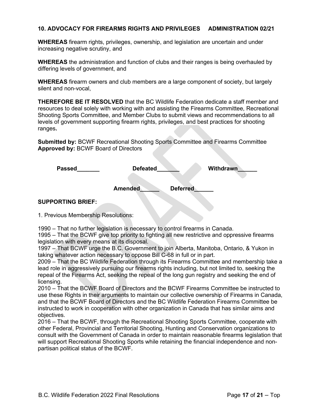#### <span id="page-17-0"></span>**10. ADVOCACY FOR FIREARMS RIGHTS AND PRIVILEGES ADMINISTRATION 02/21**

**WHEREAS** firearm rights, privileges, ownership, and legislation are uncertain and under increasing negative scrutiny, and

**WHEREAS** the administration and function of clubs and their ranges is being overhauled by differing levels of government, and

**WHEREAS** firearm owners and club members are a large component of society, but largely silent and non-vocal,

**THEREFORE BE IT RESOLVED** that the BC Wildlife Federation dedicate a staff member and resources to deal solely with working with and assisting the Firearms Committee, Recreational Shooting Sports Committee, and Member Clubs to submit views and recommendations to all levels of government supporting firearm rights, privileges, and best practices for shooting ranges**.**

**Submitted by:** BCWF Recreational Shooting Sports Committee and Firearms Committee **Approved by:** BCWF Board of Directors

| <b>Passed</b> | <b>Defeated</b> |                 | <b>Withdrawn</b> |
|---------------|-----------------|-----------------|------------------|
|               | <b>Amended</b>  | <b>Deferred</b> |                  |

#### **SUPPORTING BRIEF:**

1. Previous Membership Resolutions:

1990 – That no further legislation is necessary to control firearms in Canada.

1995 – That the BCWF give top priority to fighting all new restrictive and oppressive firearms legislation with every means at its disposal.

1997 – That BCWF urge the B.C. Government to join Alberta, Manitoba, Ontario, & Yukon in taking whatever action necessary to oppose Bill C-68 in full or in part.

2009 – That the BC Wildlife Federation through its Firearms Committee and membership take a lead role in aggressively pursuing our firearms rights including, but not limited to, seeking the repeal of the Firearms Act, seeking the repeal of the long gun registry and seeking the end of licensing.

2010 – That the BCWF Board of Directors and the BCWF Firearms Committee be instructed to use these Rights in their arguments to maintain our collective ownership of Firearms in Canada, and that the BCWF Board of Directors and the BC Wildlife Federation Firearms Committee be instructed to work in cooperation with other organization in Canada that has similar aims and objectives.

2016 – That the BCWF, through the Recreational Shooting Sports Committee, cooperate with other Federal, Provincial and Territorial Shooting, Hunting and Conservation organizations to consult with the Government of Canada in order to maintain reasonable firearms legislation that will support Recreational Shooting Sports while retaining the financial independence and nonpartisan political status of the BCWF.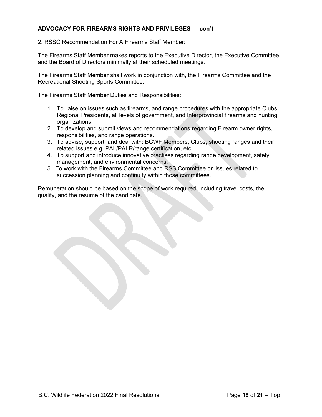### **ADVOCACY FOR FIREARMS RIGHTS AND PRIVILEGES … con't**

2. RSSC Recommendation For A Firearms Staff Member:

The Firearms Staff Member makes reports to the Executive Director, the Executive Committee, and the Board of Directors minimally at their scheduled meetings.

The Firearms Staff Member shall work in conjunction with, the Firearms Committee and the Recreational Shooting Sports Committee.

The Firearms Staff Member Duties and Responsibilities:

- 1. To liaise on issues such as firearms, and range procedures with the appropriate Clubs, Regional Presidents, all levels of government, and Interprovincial firearms and hunting organizations.
- 2. To develop and submit views and recommendations regarding Firearm owner rights, responsibilities, and range operations.
- 3. To advise, support, and deal with: BCWF Members, Clubs, shooting ranges and their related issues e.g. PAL/PALR/range certification, etc.
- 4. To support and introduce innovative practises regarding range development, safety, management, and environmental concerns.
- 5. To work with the Firearms Committee and RSS Committee on issues related to succession planning and continuity within those committees.

Remuneration should be based on the scope of work required, including travel costs, the quality, and the resume of the candidate.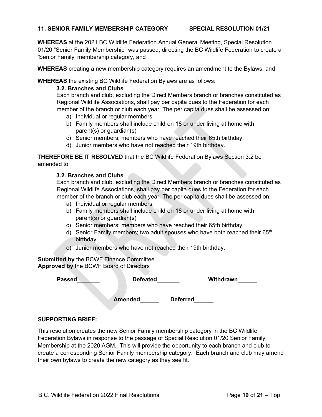#### <span id="page-19-0"></span>**11. SENIOR FAMILY MEMBERSHIP CATEGORY SPECIAL RESOLUTION 01/21**

**WHEREAS** at the 2021 BC Wildlife Federation Annual General Meeting, Special Resolution 01/20 "Senior Family Membership" was passed, directing the BC Wildlife Federation to create a 'Senior Family' membership category, and

**WHEREAS** creating a new membership category requires an amendment to the Bylaws, and

**WHEREAS** the existing BC Wildlife Federation Bylaws are as follows:

#### **3.2. Branches and Clubs**

Each branch and club, excluding the Direct Members branch or branches constituted as Regional Wildlife Associations, shall pay per capita dues to the Federation for each member of the branch or club each year. The per capita dues shall be assessed on:

- a) Individual or regular members.
- b) Family members shall include children 18 or under living at home with parent(s) or guardian(s)
- c) Senior members; members who have reached their 65th birthday.
- d) Junior members who have not reached their 19th birthday.

**THEREFORE BE IT RESOLVED** that the BC Wildlife Federation Bylaws Section 3.2 be amended to:

#### **3.2. Branches and Clubs**

Each branch and club, excluding the Direct Members branch or branches constituted as Regional Wildlife Associations, shall pay per capita dues to the Federation for each member of the branch or club each year. The per capita dues shall be assessed on:

- a) Individual or regular members.
- b) Family members shall include children 18 or under living at home with parent(s) or guardian(s)
- c) Senior members; members who have reached their 65th birthday.
- d) Senior Family members; two adult spouses who have both reached their 65<sup>th</sup> birthday.
- e) Junior members who have not reached their 19th birthday.

**Submitted by** the BCWF Finance Committee **Approved by** the BCWF Board of Directors

| Passed | <b>Defeated</b> |                 | Withdrawn |
|--------|-----------------|-----------------|-----------|
|        |                 |                 |           |
|        | <b>Amended</b>  | <b>Deferred</b> |           |

#### **SUPPORTING BRIEF:**

This resolution creates the new Senior Family membership category in the BC Wildlife Federation Bylaws in response to the passage of Special Resolution 01/20 Senior Family Membership at the 2020 AGM. This will provide the opportunity to each branch and club to create a corresponding Senior Family membership category. Each branch and club may amend their own bylaws to create the new category as they see fit.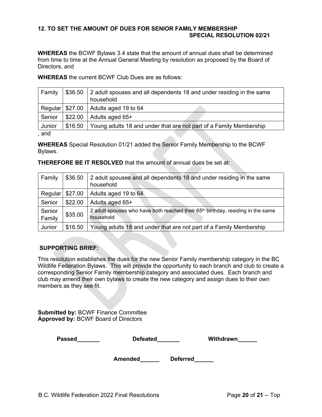#### <span id="page-20-0"></span>**12. TO SET THE AMOUNT OF DUES FOR SENIOR FAMILY MEMBERSHIP SPECIAL RESOLUTION 02/21**

**WHEREAS** the BCWF Bylaws 3.4 state that the amount of annual dues shall be determined from time to time at the Annual General Meeting by resolution as proposed by the Board of Directors, and

**WHEREAS** the current BCWF Club Dues are as follows:

| Family | \$36.50 | 2 adult spouses and all dependents 18 and under residing in the same<br>household |
|--------|---------|-----------------------------------------------------------------------------------|
|        |         | Regular $\frac{27.00}{ }$ Adults aged 19 to 64                                    |
| Senior | \$22.00 | Adults aged 65+                                                                   |
| Junior | \$16.50 | Young adults 18 and under that are not part of a Family Membership                |
| and    |         |                                                                                   |

, and

**WHEREAS** Special Resolution 01/21 added the Senior Family Membership to the BCWF Bylaws.

**THEREFORE BE IT RESOLVED** that the amount of annual dues be set at:

| Family           | \$36.50 | 2 adult spouses and all dependents 18 and under residing in the same<br>household                        |
|------------------|---------|----------------------------------------------------------------------------------------------------------|
| Regular          | \$27.00 | Adults aged 19 to 64                                                                                     |
| Senior           | \$22.00 | Adults aged 65+                                                                                          |
| Senior<br>Family | \$35.00 | 2 adult spouses who have both reached their 65 <sup>th</sup> birthday, residing in the same<br>household |
| Junior           | \$16.50 | Young adults 18 and under that are not part of a Family Membership                                       |

# **SUPPORTING BRIEF:**

This resolution establishes the dues for the new Senior Family membership category in the BC Wildlife Federation Bylaws. This will provide the opportunity to each branch and club to create a corresponding Senior Family membership category and associated dues. Each branch and club may amend their own bylaws to create the new category and assign dues to their own members as they see fit.

**Submitted by:** BCWF Finance Committee **Approved by:** BCWF Board of Directors

| <b>Passed</b> | <b>Defeated</b> |                 | Withdrawn |
|---------------|-----------------|-----------------|-----------|
|               | <b>Amended</b>  | <b>Deferred</b> |           |